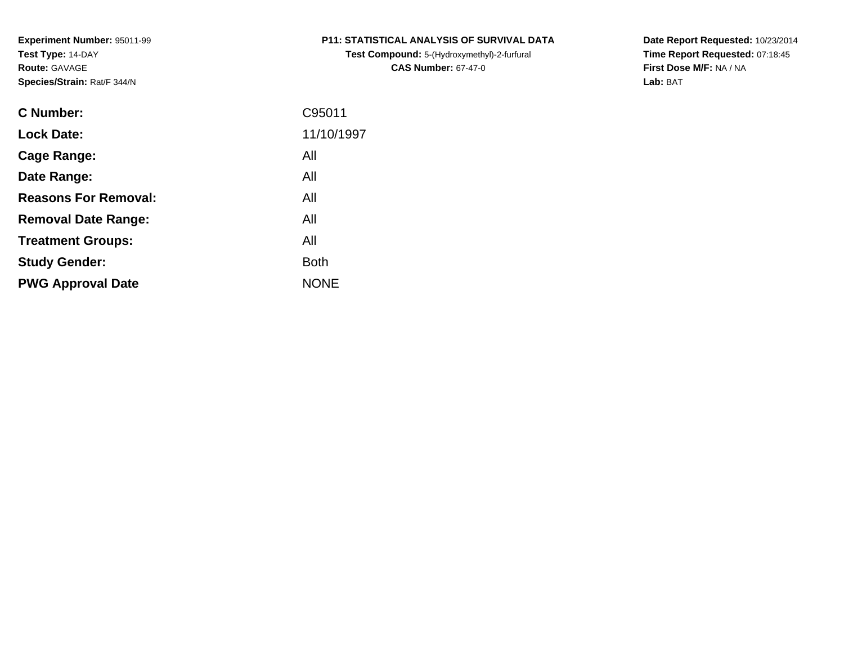**Test Compound:** 5-(Hydroxymethyl)-2-furfural **CAS Number:** 67-47-0

**Date Report Requested:** 10/23/2014 **Time Report Requested:** 07:18:45**First Dose M/F:** NA / NA**Lab:** BAT

| C Number:                   | C95011      |
|-----------------------------|-------------|
| <b>Lock Date:</b>           | 11/10/1997  |
| Cage Range:                 | All         |
| Date Range:                 | All         |
| <b>Reasons For Removal:</b> | All         |
| <b>Removal Date Range:</b>  | All         |
| <b>Treatment Groups:</b>    | All         |
| <b>Study Gender:</b>        | <b>Both</b> |
| <b>PWG Approval Date</b>    | <b>NONE</b> |
|                             |             |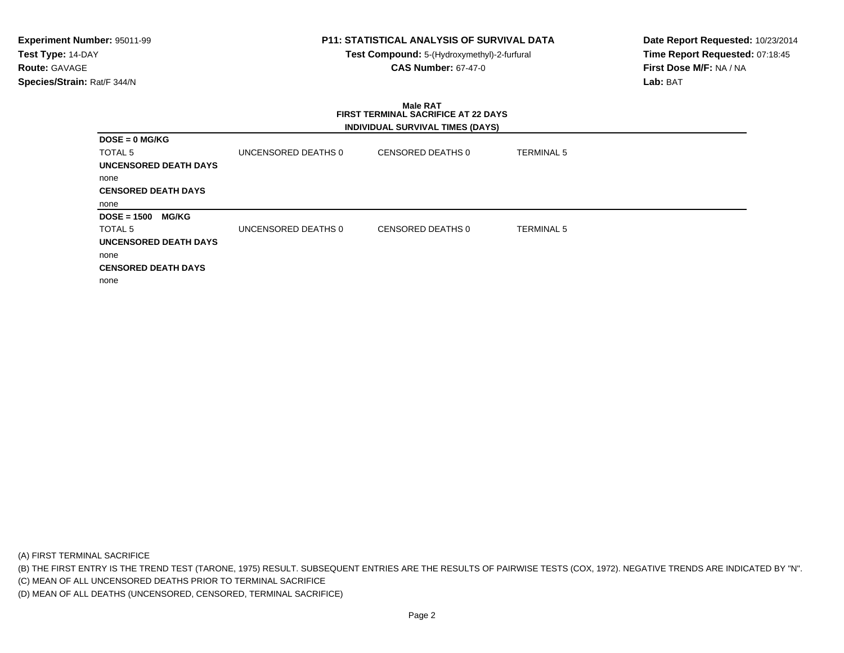# **P11: STATISTICAL ANALYSIS OF SURVIVAL DATA**

**Test Compound:** 5-(Hydroxymethyl)-2-furfural **CAS Number:** 67-47-0

**Date Report Requested:** 10/23/2014**Time Report Requested:** 07:18:45**First Dose M/F:** NA / NA**Lab:** BAT

#### **Male RAT FIRST TERMINAL SACRIFICE AT 22 DAYSINDIVIDUAL SURVIVAL TIMES (DAYS)**

| $DOSE = 0$ MG/KG              |                     |                   |                   |
|-------------------------------|---------------------|-------------------|-------------------|
| <b>TOTAL 5</b>                | UNCENSORED DEATHS 0 | CENSORED DEATHS 0 | <b>TERMINAL 5</b> |
| <b>UNCENSORED DEATH DAYS</b>  |                     |                   |                   |
| none                          |                     |                   |                   |
| <b>CENSORED DEATH DAYS</b>    |                     |                   |                   |
| none                          |                     |                   |                   |
| <b>MG/KG</b><br>$DOSE = 1500$ |                     |                   |                   |
| TOTAL <sub>5</sub>            | UNCENSORED DEATHS 0 | CENSORED DEATHS 0 | <b>TERMINAL 5</b> |
| <b>UNCENSORED DEATH DAYS</b>  |                     |                   |                   |
| none                          |                     |                   |                   |
| <b>CENSORED DEATH DAYS</b>    |                     |                   |                   |
| none                          |                     |                   |                   |

(A) FIRST TERMINAL SACRIFICE

(B) THE FIRST ENTRY IS THE TREND TEST (TARONE, 1975) RESULT. SUBSEQUENT ENTRIES ARE THE RESULTS OF PAIRWISE TESTS (COX, 1972). NEGATIVE TRENDS ARE INDICATED BY "N".

(C) MEAN OF ALL UNCENSORED DEATHS PRIOR TO TERMINAL SACRIFICE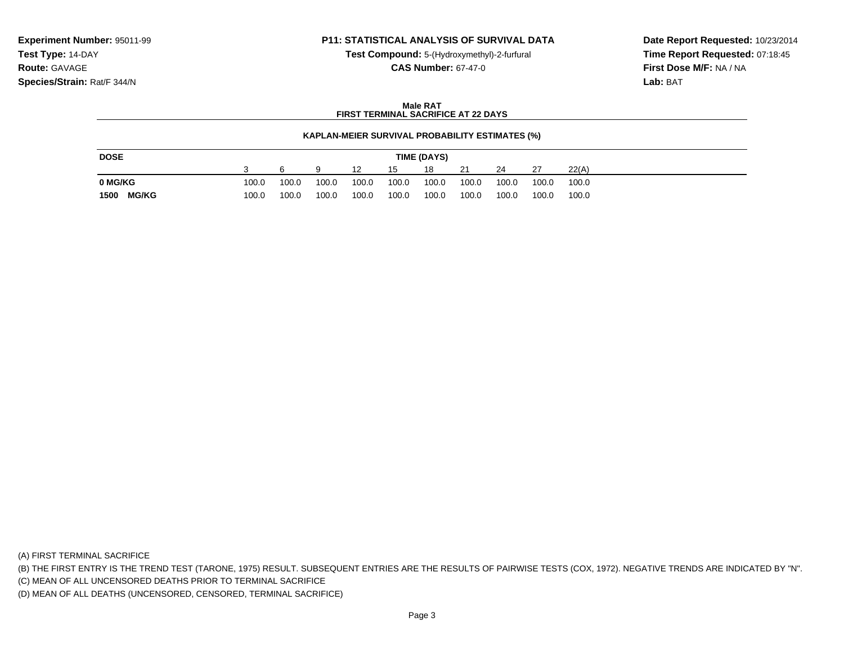### **P11: STATISTICAL ANALYSIS OF SURVIVAL DATA**

**Test Compound:** 5-(Hydroxymethyl)-2-furfural **CAS Number:** 67-47-0

**Date Report Requested:** 10/23/2014**Time Report Requested:** 07:18:45**First Dose M/F:** NA / NA**Lab:** BAT

### **Male RATFIRST TERMINAL SACRIFICE AT 22 DAYS**

### **KAPLAN-MEIER SURVIVAL PROBABILITY ESTIMATES (%)**

| <b>DOSE</b>          | TIME (DAYS) |       |       |       |       |       |       |       |       |       |  |
|----------------------|-------------|-------|-------|-------|-------|-------|-------|-------|-------|-------|--|
|                      |             |       |       | 12    | 15    | 18    | 21    | 24    | 27    | 22(A) |  |
| 0 MG/KG              | 100.0       | 100.0 | 100.0 | 100.0 | 100.0 | 100.0 | 100.0 | 100.0 | 100.0 | 100.0 |  |
| <b>MG/KG</b><br>1500 | 100.0       | 100.0 | 100.0 | 100.0 | 100.0 | 100.0 | 100.0 | 100.0 | 100.0 | 100.0 |  |

(A) FIRST TERMINAL SACRIFICE

(B) THE FIRST ENTRY IS THE TREND TEST (TARONE, 1975) RESULT. SUBSEQUENT ENTRIES ARE THE RESULTS OF PAIRWISE TESTS (COX, 1972). NEGATIVE TRENDS ARE INDICATED BY "N".

(C) MEAN OF ALL UNCENSORED DEATHS PRIOR TO TERMINAL SACRIFICE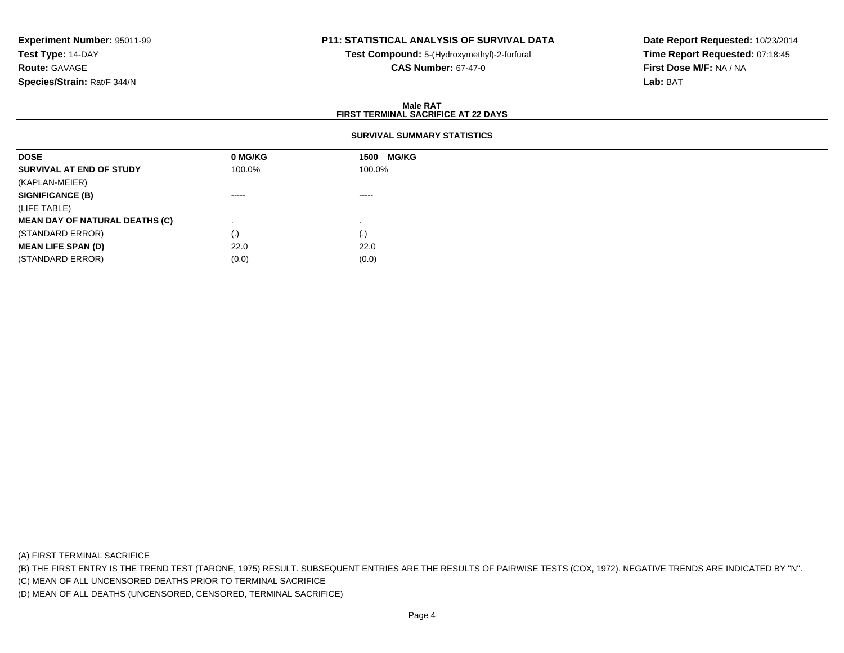## **P11: STATISTICAL ANALYSIS OF SURVIVAL DATA**

**Test Compound:** 5-(Hydroxymethyl)-2-furfural **CAS Number:** 67-47-0

**Date Report Requested:** 10/23/2014**Time Report Requested:** 07:18:45**First Dose M/F:** NA / NA**Lab:** BAT

### **Male RATFIRST TERMINAL SACRIFICE AT 22 DAYS**

### **SURVIVAL SUMMARY STATISTICS**

| <b>DOSE</b>                           | 0 MG/KG                | 1500 MG/KG  |
|---------------------------------------|------------------------|-------------|
| SURVIVAL AT END OF STUDY              | 100.0%                 | 100.0%      |
| (KAPLAN-MEIER)                        |                        |             |
| <b>SIGNIFICANCE (B)</b>               | -----                  | $- - - - -$ |
| (LIFE TABLE)                          |                        |             |
| <b>MEAN DAY OF NATURAL DEATHS (C)</b> |                        |             |
| (STANDARD ERROR)                      | $\left( \cdot \right)$ | (.)         |
| <b>MEAN LIFE SPAN (D)</b>             | 22.0                   | 22.0        |
| (STANDARD ERROR)                      | (0.0)                  | (0.0)       |

(A) FIRST TERMINAL SACRIFICE

(B) THE FIRST ENTRY IS THE TREND TEST (TARONE, 1975) RESULT. SUBSEQUENT ENTRIES ARE THE RESULTS OF PAIRWISE TESTS (COX, 1972). NEGATIVE TRENDS ARE INDICATED BY "N".

(C) MEAN OF ALL UNCENSORED DEATHS PRIOR TO TERMINAL SACRIFICE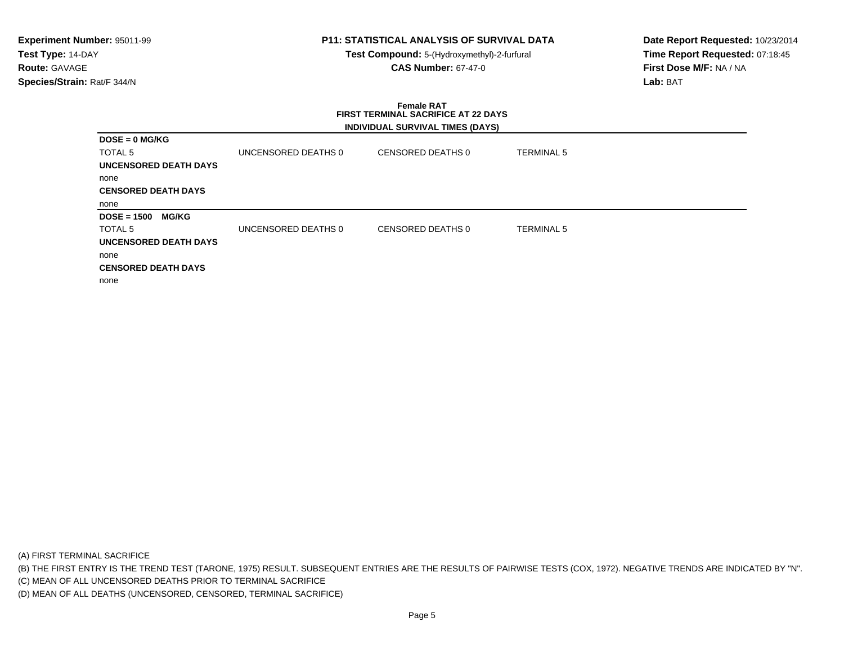# **P11: STATISTICAL ANALYSIS OF SURVIVAL DATA**

**Test Compound:** 5-(Hydroxymethyl)-2-furfural **CAS Number:** 67-47-0

**Date Report Requested:** 10/23/2014**Time Report Requested:** 07:18:45**First Dose M/F:** NA / NA**Lab:** BAT

### **Female RAT FIRST TERMINAL SACRIFICE AT 22 DAYSINDIVIDUAL SURVIVAL TIMES (DAYS)**

| <b>DOSE = 0 MG/KG</b>              |                     |                   |                   |
|------------------------------------|---------------------|-------------------|-------------------|
| TOTAL 5                            | UNCENSORED DEATHS 0 | CENSORED DEATHS 0 | <b>TERMINAL 5</b> |
| <b>UNCENSORED DEATH DAYS</b>       |                     |                   |                   |
| none                               |                     |                   |                   |
| <b>CENSORED DEATH DAYS</b>         |                     |                   |                   |
| none                               |                     |                   |                   |
| <b>DOSE = 1500</b><br><b>MG/KG</b> |                     |                   |                   |
| TOTAL 5                            | UNCENSORED DEATHS 0 | CENSORED DEATHS 0 | TERMINAL 5        |
| <b>UNCENSORED DEATH DAYS</b>       |                     |                   |                   |
| none                               |                     |                   |                   |
| <b>CENSORED DEATH DAYS</b>         |                     |                   |                   |
| none                               |                     |                   |                   |

(A) FIRST TERMINAL SACRIFICE

(B) THE FIRST ENTRY IS THE TREND TEST (TARONE, 1975) RESULT. SUBSEQUENT ENTRIES ARE THE RESULTS OF PAIRWISE TESTS (COX, 1972). NEGATIVE TRENDS ARE INDICATED BY "N".

(C) MEAN OF ALL UNCENSORED DEATHS PRIOR TO TERMINAL SACRIFICE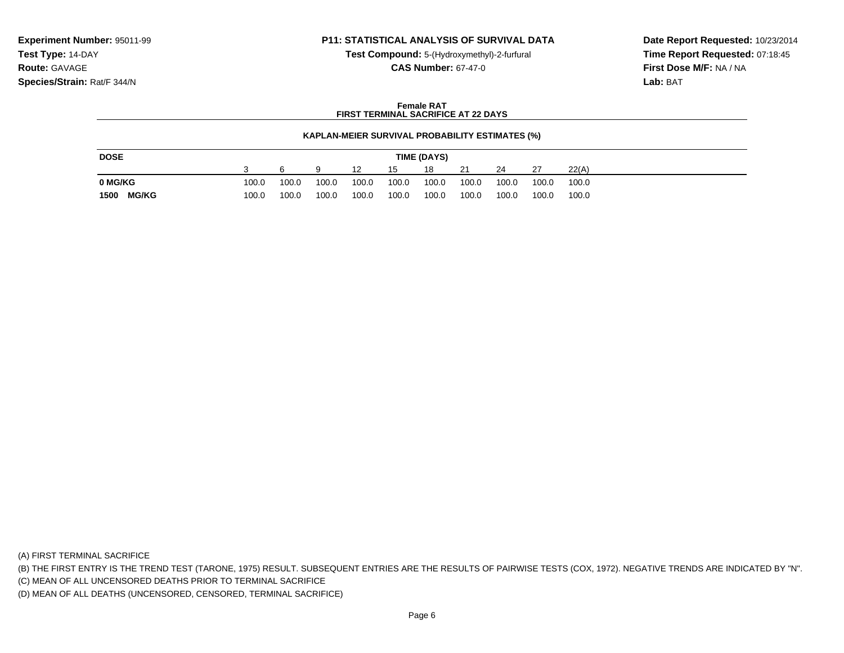### **P11: STATISTICAL ANALYSIS OF SURVIVAL DATA**

**Test Compound:** 5-(Hydroxymethyl)-2-furfural **CAS Number:** 67-47-0

**Date Report Requested:** 10/23/2014**Time Report Requested:** 07:18:45**First Dose M/F:** NA / NA**Lab:** BAT

#### **Female RATFIRST TERMINAL SACRIFICE AT 22 DAYS**

### **KAPLAN-MEIER SURVIVAL PROBABILITY ESTIMATES (%)**

| <b>DOSE</b> |              | TIME (DAYS) |       |       |       |       |       |       |       |       |       |  |
|-------------|--------------|-------------|-------|-------|-------|-------|-------|-------|-------|-------|-------|--|
|             |              |             |       |       | 12    | 15    | 18    | 21    | 24    | 27    | 22(A) |  |
| 0 MG/KG     |              | 100.0       | 100.0 | 100.0 | 100.0 | 100.0 | 100.0 | 100.0 | 100.0 | 100.0 | 100.0 |  |
| 1500        | <b>MG/KG</b> | 100.0       | 100.0 | 100.0 | 100.0 | 100.0 | 100.0 | 100.0 | 100.0 | 100.0 | 100.0 |  |

(A) FIRST TERMINAL SACRIFICE

(B) THE FIRST ENTRY IS THE TREND TEST (TARONE, 1975) RESULT. SUBSEQUENT ENTRIES ARE THE RESULTS OF PAIRWISE TESTS (COX, 1972). NEGATIVE TRENDS ARE INDICATED BY "N".

(C) MEAN OF ALL UNCENSORED DEATHS PRIOR TO TERMINAL SACRIFICE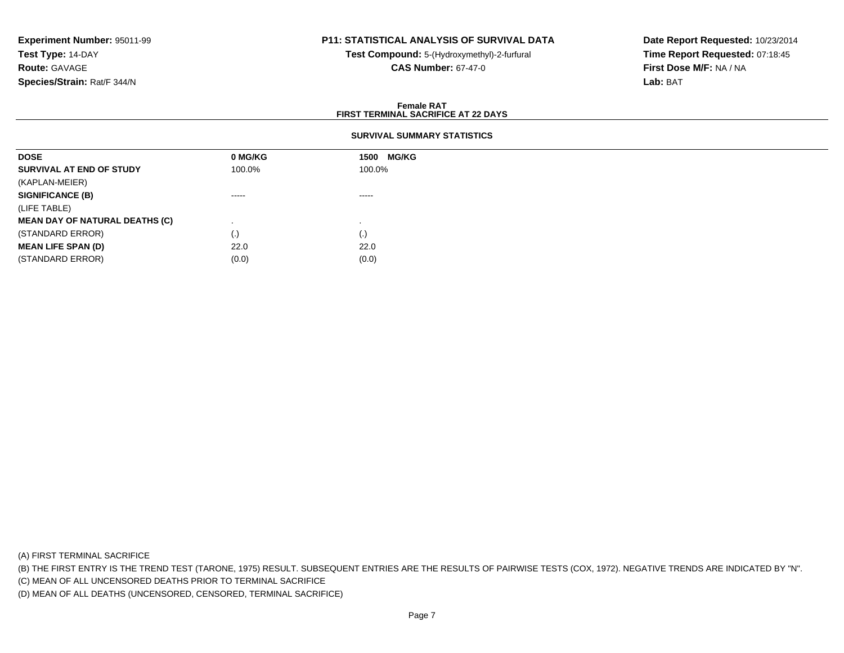## **P11: STATISTICAL ANALYSIS OF SURVIVAL DATA**

**Test Compound:** 5-(Hydroxymethyl)-2-furfural **CAS Number:** 67-47-0

**Date Report Requested:** 10/23/2014**Time Report Requested:** 07:18:45**First Dose M/F:** NA / NA**Lab:** BAT

### **Female RATFIRST TERMINAL SACRIFICE AT 22 DAYS**

### **SURVIVAL SUMMARY STATISTICS**

| <b>DOSE</b>                           | 0 MG/KG | <b>MG/KG</b><br>1500 |  |
|---------------------------------------|---------|----------------------|--|
| SURVIVAL AT END OF STUDY              | 100.0%  | 100.0%               |  |
| (KAPLAN-MEIER)                        |         |                      |  |
| <b>SIGNIFICANCE (B)</b>               | ------  | $\cdots$             |  |
| (LIFE TABLE)                          |         |                      |  |
| <b>MEAN DAY OF NATURAL DEATHS (C)</b> |         |                      |  |
| (STANDARD ERROR)                      | (.)     | (.)                  |  |
| <b>MEAN LIFE SPAN (D)</b>             | 22.0    | 22.0                 |  |
| (STANDARD ERROR)                      | (0.0)   | (0.0)                |  |

(A) FIRST TERMINAL SACRIFICE

(B) THE FIRST ENTRY IS THE TREND TEST (TARONE, 1975) RESULT. SUBSEQUENT ENTRIES ARE THE RESULTS OF PAIRWISE TESTS (COX, 1972). NEGATIVE TRENDS ARE INDICATED BY "N".

(C) MEAN OF ALL UNCENSORED DEATHS PRIOR TO TERMINAL SACRIFICE